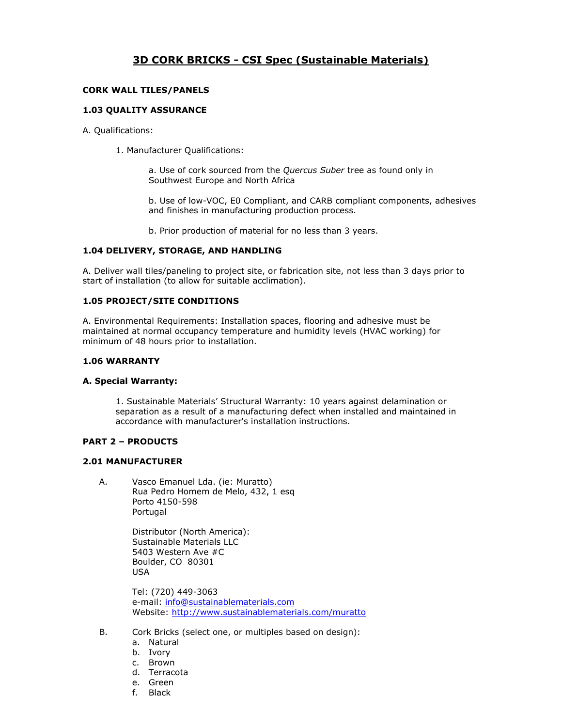# **3D CORK BRICKS - CSI Spec (Sustainable Materials)**

# **CORK WALL TILES/PANELS**

#### **1.03 QUALITY ASSURANCE**

A. Qualifications:

1. Manufacturer Qualifications:

a. Use of cork sourced from the *Quercus Suber* tree as found only in Southwest Europe and North Africa

b. Use of low-VOC, E0 Compliant, and CARB compliant components, adhesives and finishes in manufacturing production process.

b. Prior production of material for no less than 3 years.

#### **1.04 DELIVERY, STORAGE, AND HANDLING**

A. Deliver wall tiles/paneling to project site, or fabrication site, not less than 3 days prior to start of installation (to allow for suitable acclimation).

### **1.05 PROJECT/SITE CONDITIONS**

A. Environmental Requirements: Installation spaces, flooring and adhesive must be maintained at normal occupancy temperature and humidity levels (HVAC working) for minimum of 48 hours prior to installation.

#### **1.06 WARRANTY**

#### **A. Special Warranty:**

1. Sustainable Materials' Structural Warranty: 10 years against delamination or separation as a result of a manufacturing defect when installed and maintained in accordance with manufacturer's installation instructions.

# **PART 2 – PRODUCTS**

#### **2.01 MANUFACTURER**

A. Vasco Emanuel Lda. (ie: Muratto) Rua Pedro Homem de Melo, 432, 1 esq Porto 4150-598 Portugal

> Distributor (North America): Sustainable Materials LLC 5403 Western Ave #C Boulder, CO 80301 USA

Tel: (720) 449-3063 e-mail: [info@sustainablematerials.com](mailto:info@sustainablematerials.com) Website:<http://www.sustainablematerials.com/muratto>

- B. Cork Bricks (select one, or multiples based on design):
	- a. Natural
	- b. Ivory
	- c. Brown
	- d. Terracota
	- e. Green
	- f. Black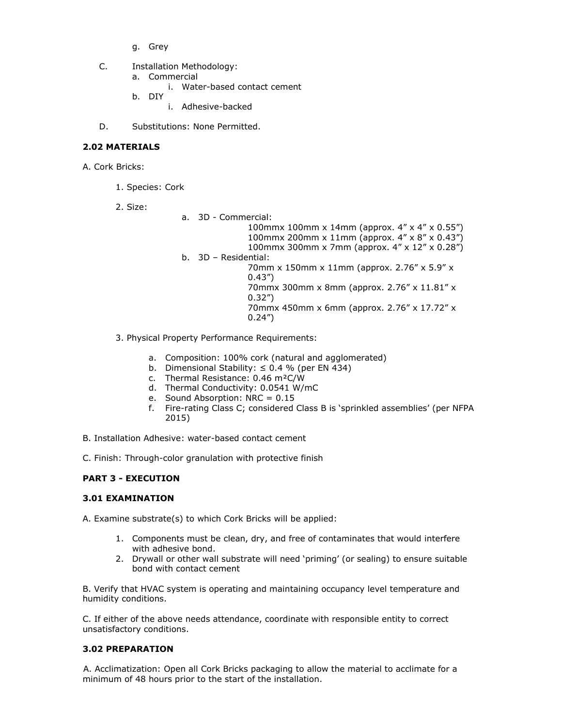- g. Grey
- C. Installation Methodology:
	- a. Commercial
		- i. Water-based contact cement
	- b. DIY
		- i. Adhesive-backed
- D. Substitutions: None Permitted.

# **2.02 MATERIALS**

A. Cork Bricks:

1. Species: Cork

2. Size:

- a. 3D Commercial: 100mmx 100mm x 14mm (approx. 4" x 4" x 0.55") 100mmx 200mm x 11mm (approx. 4" x 8" x 0.43") 100mmx 300mm x 7mm (approx. 4" x 12" x 0.28") b. 3D – Residential: 70mm x 150mm x 11mm (approx. 2.76" x 5.9" x 0.43") 70mmx 300mm x 8mm (approx. 2.76" x 11.81" x 0.32") 70mmx 450mm x 6mm (approx. 2.76" x 17.72" x 0.24")
- 3. Physical Property Performance Requirements:
	- a. Composition: 100% cork (natural and agglomerated)
	- b. Dimensional Stability:  $\leq 0.4$  % (per EN 434)
	- c. Thermal Resistance: 0.46 m²C/W
	- d. Thermal Conductivity: 0.0541 W/mC
	- e. Sound Absorption: NRC = 0.15
	- f. Fire-rating Class C; considered Class B is 'sprinkled assemblies' (per NFPA 2015)

B. Installation Adhesive: water-based contact cement

C. Finish: Through-color granulation with protective finish

# **PART 3 - EXECUTION**

# **3.01 EXAMINATION**

A. Examine substrate(s) to which Cork Bricks will be applied:

- 1. Components must be clean, dry, and free of contaminates that would interfere with adhesive bond.
- 2. Drywall or other wall substrate will need 'priming' (or sealing) to ensure suitable bond with contact cement

B. Verify that HVAC system is operating and maintaining occupancy level temperature and humidity conditions.

C. If either of the above needs attendance, coordinate with responsible entity to correct unsatisfactory conditions.

# **3.02 PREPARATION**

A. Acclimatization: Open all Cork Bricks packaging to allow the material to acclimate for a minimum of 48 hours prior to the start of the installation.